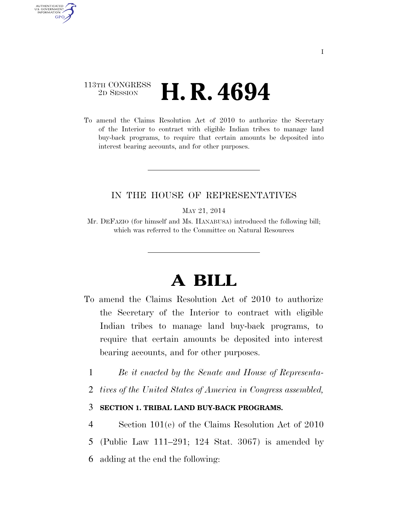## 113TH CONGRESS <sup>2D SESSION</sup> **H. R. 4694**

AUTHENTICATED U.S. GOVERNMENT **GPO** 

> To amend the Claims Resolution Act of 2010 to authorize the Secretary of the Interior to contract with eligible Indian tribes to manage land buy-back programs, to require that certain amounts be deposited into interest bearing accounts, and for other purposes.

## IN THE HOUSE OF REPRESENTATIVES

MAY 21, 2014

Mr. DEFAZIO (for himself and Ms. HANABUSA) introduced the following bill; which was referred to the Committee on Natural Resources

## **A BILL**

- To amend the Claims Resolution Act of 2010 to authorize the Secretary of the Interior to contract with eligible Indian tribes to manage land buy-back programs, to require that certain amounts be deposited into interest bearing accounts, and for other purposes.
	- 1 *Be it enacted by the Senate and House of Representa-*
	- 2 *tives of the United States of America in Congress assembled,*

## 3 **SECTION 1. TRIBAL LAND BUY-BACK PROGRAMS.**

4 Section 101(e) of the Claims Resolution Act of 2010 5 (Public Law 111–291; 124 Stat. 3067) is amended by 6 adding at the end the following: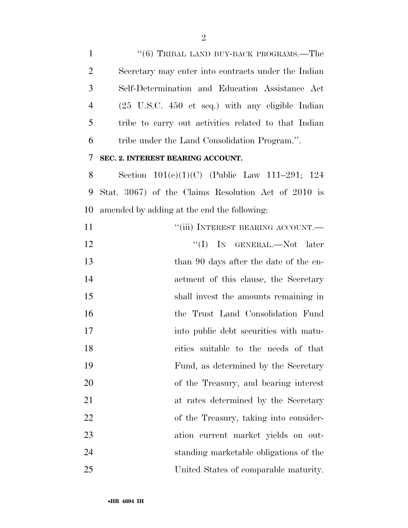1 ''(6) TRIBAL LAND BUY-BACK PROGRAMS.—The Secretary may enter into contracts under the Indian Self-Determination and Education Assistance Act (25 U.S.C. 450 et seq.) with any eligible Indian tribe to carry out activities related to that Indian tribe under the Land Consolidation Program.''. **SEC. 2. INTEREST BEARING ACCOUNT.**  Section 101(e)(1)(C) (Public Law 111–291; 124 Stat. 3067) of the Claims Resolution Act of 2010 is amended by adding at the end the following: 11 ""(iii) INTEREST BEARING ACCOUNT.— 12 ''(I) In GENERAL.—Not later 13 than 90 days after the date of the en- actment of this clause, the Secretary shall invest the amounts remaining in the Trust Land Consolidation Fund 17 into public debt securities with matu- rities suitable to the needs of that Fund, as determined by the Secretary of the Treasury, and bearing interest at rates determined by the Secretary of the Treasury, taking into consider- ation current market yields on out- standing marketable obligations of the United States of comparable maturity.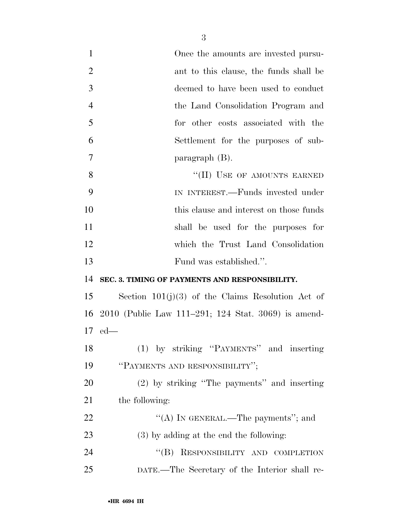| $\mathbf{1}$   | Once the amounts are invested pursu-                |
|----------------|-----------------------------------------------------|
| $\overline{2}$ | ant to this clause, the funds shall be              |
| 3              | deemed to have been used to conduct                 |
| $\overline{4}$ | the Land Consolidation Program and                  |
| 5              | for other costs associated with the                 |
| 6              | Settlement for the purposes of sub-                 |
| $\overline{7}$ | paragraph $(B)$ .                                   |
| 8              | "(II) USE OF AMOUNTS EARNED                         |
| 9              | IN INTEREST.—Funds invested under                   |
| 10             | this clause and interest on those funds             |
| 11             | shall be used for the purposes for                  |
| 12             | which the Trust Land Consolidation                  |
| 13             | Fund was established.".                             |
| 14             | SEC. 3. TIMING OF PAYMENTS AND RESPONSIBILITY.      |
| 15             | Section $101(j)(3)$ of the Claims Resolution Act of |
| 16             | 2010 (Public Law 111–291; 124 Stat. 3069) is amend- |
| 17             | $ed$ —                                              |
| 18             | (1) by striking "PAYMENTS" and inserting            |
| 19             | "PAYMENTS AND RESPONSIBILITY";                      |
| 20             | (2) by striking "The payments" and inserting        |
| 21             | the following:                                      |
| 22             | "(A) IN GENERAL.—The payments"; and                 |
| 23             | $(3)$ by adding at the end the following:           |
| 24             | "(B) RESPONSIBILITY AND COMPLETION                  |
| 25             | DATE.—The Secretary of the Interior shall re-       |